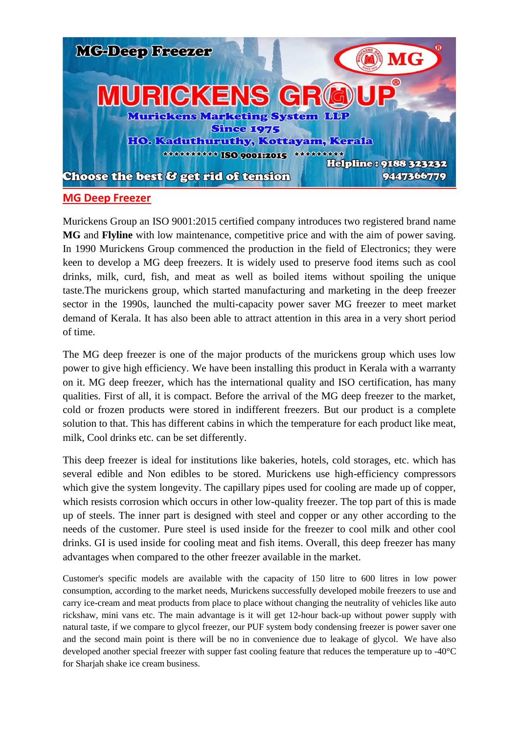

## **MG Deep Freezer**

Murickens Group an ISO 9001:2015 certified company introduces two registered brand name **MG** and **Flyline** with low maintenance, competitive price and with the aim of power saving. In 1990 Murickens Group commenced the production in the field of Electronics; they were keen to develop a MG deep freezers. It is widely used to preserve food items such as cool drinks, milk, curd, fish, and meat as well as boiled items without spoiling the unique taste.The murickens group, which started manufacturing and marketing in the deep freezer sector in the 1990s, launched the multi-capacity power saver MG freezer to meet market demand of Kerala. It has also been able to attract attention in this area in a very short period of time.

The MG deep freezer is one of the major products of the murickens group which uses low power to give high efficiency. We have been installing this product in Kerala with a warranty on it. MG deep freezer, which has the international quality and ISO certification, has many qualities. First of all, it is compact. Before the arrival of the MG deep freezer to the market, cold or frozen products were stored in indifferent freezers. But our product is a complete solution to that. This has different cabins in which the temperature for each product like meat, milk, Cool drinks etc. can be set differently.

This deep freezer is ideal for institutions like bakeries, hotels, cold storages, etc. which has several edible and Non edibles to be stored. Murickens use high-efficiency compressors which give the system longevity. The capillary pipes used for cooling are made up of copper, which resists corrosion which occurs in other low-quality freezer. The top part of this is made up of steels. The inner part is designed with steel and copper or any other according to the needs of the customer. Pure steel is used inside for the freezer to cool milk and other cool drinks. GI is used inside for cooling meat and fish items. Overall, this deep freezer has many advantages when compared to the other freezer available in the market.

Customer's specific models are available with the capacity of 150 litre to 600 litres in low power consumption, according to the market needs, Murickens successfully developed mobile freezers to use and carry ice-cream and meat products from place to place without changing the neutrality of vehicles like auto rickshaw, mini vans etc. The main advantage is it will get 12-hour back-up without power supply with natural taste, if we compare to glycol freezer, our PUF system body condensing freezer is power saver one and the second main point is there will be no in convenience due to leakage of glycol. We have also developed another special freezer with supper fast cooling feature that reduces the temperature up to -40°C for Sharjah shake ice cream business.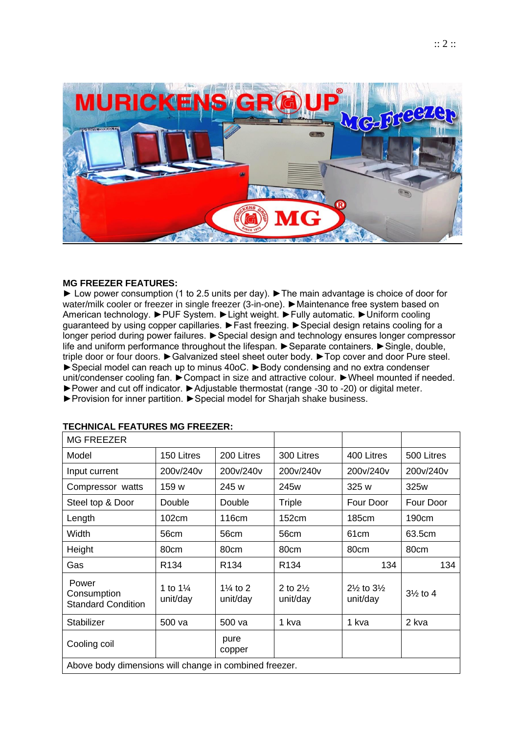

## **MG FREEZER FEATURES:**

► Low power consumption (1 to 2.5 units per day). ►The main advantage is choice of door for water/milk cooler or freezer in single freezer (3-in-one). ► Maintenance free system based on American technology. ►PUF System. ►Light weight. ►Fully automatic. ►Uniform cooling guaranteed by using copper capillaries. ►Fast freezing. ►Special design retains cooling for a longer period during power failures. ►Special design and technology ensures longer compressor life and uniform performance throughout the lifespan. ►Separate containers. ►Single, double, triple door or four doors. ►Galvanized steel sheet outer body. ►Top cover and door Pure steel. ►Special model can reach up to minus 40oC. ►Body condensing and no extra condenser unit/condenser cooling fan. ►Compact in size and attractive colour. ►Wheel mounted if needed. ►Power and cut off indicator. ►Adjustable thermostat (range -30 to -20) or digital meter.

►Provision for inner partition. ►Special model for Sharjah shake business.

| <b>MG FREEZER</b>                                 |                                 |                                 |                                 |                                              |                     |
|---------------------------------------------------|---------------------------------|---------------------------------|---------------------------------|----------------------------------------------|---------------------|
| Model                                             | 150 Litres                      | 200 Litres                      | 300 Litres                      | 400 Litres                                   | 500 Litres          |
| Input current                                     | 200v/240v                       | 200v/240v                       | 200v/240v                       | 200v/240v                                    | 200v/240v           |
| Compressor watts                                  | 159 w                           | 245 w                           | 245w                            | 325w                                         | 325w                |
| Steel top & Door                                  | Double                          | Double                          | Triple                          | Four Door                                    | Four Door           |
| Length                                            | 102cm                           | 116 <sub>cm</sub>               | 152cm                           | 185cm                                        | 190cm               |
| Width                                             | 56cm                            | 56cm                            | 56cm                            | 61 <sub>cm</sub>                             | 63.5cm              |
| Height                                            | 80cm                            | 80cm                            | 80cm                            | 80cm                                         | 80cm                |
| Gas                                               | R <sub>134</sub>                | R <sub>134</sub>                | R <sub>134</sub>                | 134                                          | 134                 |
| Power<br>Consumption<br><b>Standard Condition</b> | 1 to $1\frac{1}{4}$<br>unit/day | $1\frac{1}{4}$ to 2<br>unit/day | 2 to $2\frac{1}{2}$<br>unit/day | $2\frac{1}{2}$ to $3\frac{1}{2}$<br>unit/day | $3\frac{1}{2}$ to 4 |
| Stabilizer                                        | 500 va                          | 500 va                          | 1 kva                           | 1 kva                                        | 2 kva               |
| Cooling coil                                      |                                 | pure<br>copper                  |                                 |                                              |                     |

## **TECHNICAL FEATURES MG FREEZER:**

Above body dimensions will change in combined freezer.

 $\overline{\phantom{a}}$